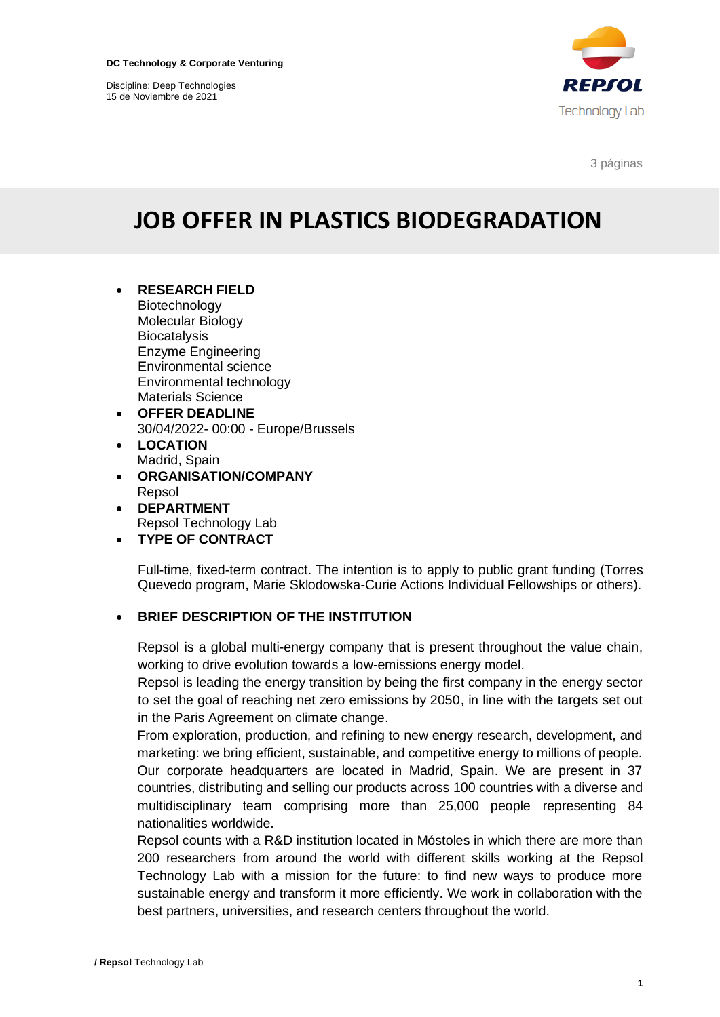Discipline: Deep Technologies 15 de Noviembre de 2021



3 páginas

# **JOB OFFER IN PLASTICS BIODEGRADATION**

- **RESEARCH FIELD** Biotechnology Molecular Biology **Biocatalysis** Enzyme Engineering Environmental science Environmental technology Materials Science
- **OFFER DEADLINE** 30/04/2022- 00:00 - Europe/Brussels
- **LOCATION** Madrid, Spain
- **ORGANISATION/COMPANY** Repsol
- **DEPARTMENT** Repsol Technology Lab
- **TYPE OF CONTRACT**

Full-time, fixed-term contract. The intention is to apply to public grant funding (Torres Quevedo program, Marie Sklodowska-Curie Actions Individual Fellowships or others).

## • **BRIEF DESCRIPTION OF THE INSTITUTION**

Repsol is a global multi-energy company that is present throughout the value chain, working to drive evolution towards a low-emissions energy model.

Repsol is leading the energy transition by being the first company in the energy sector to set the goal of reaching net zero emissions by 2050, in line with the targets set out in the Paris Agreement on climate change.

From exploration, production, and refining to new energy research, development, and marketing: we bring efficient, sustainable, and competitive energy to millions of people. Our corporate headquarters are located in Madrid, Spain. We are present in 37 countries, distributing and selling our products across 100 countries with a diverse and multidisciplinary team comprising more than 25,000 people representing 84 nationalities worldwide.

Repsol counts with a R&D institution located in Móstoles in which there are more than 200 researchers from around the world with different skills working at the Repsol Technology Lab with a mission for the future: to find new ways to produce more sustainable energy and transform it more efficiently. We work in collaboration with the best partners, universities, and research centers throughout the world.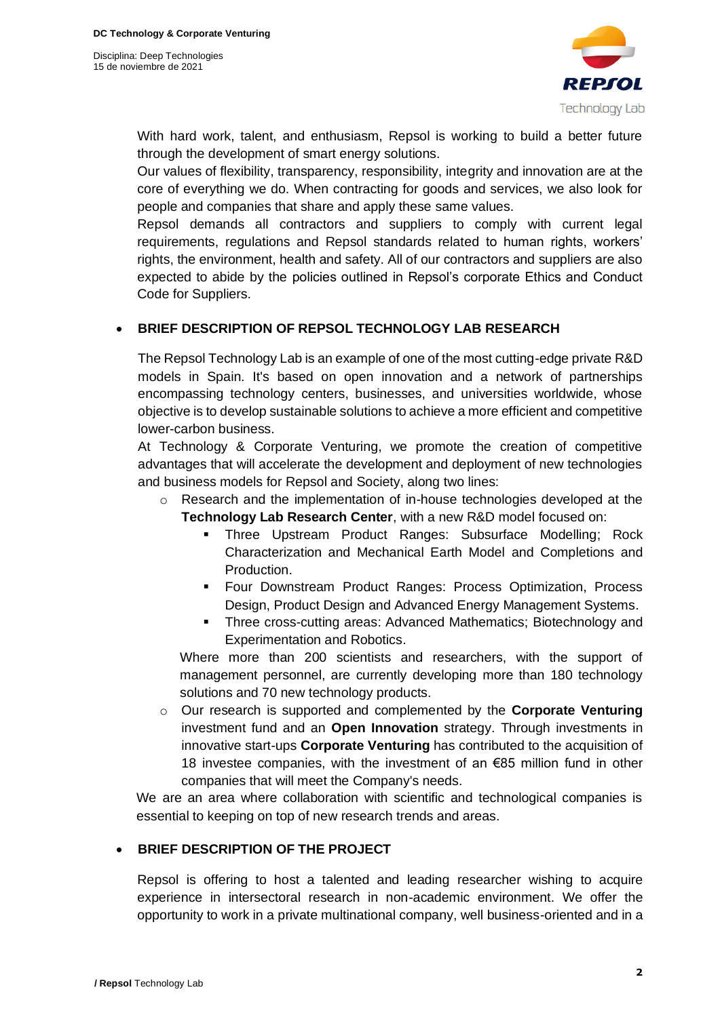

With hard work, talent, and enthusiasm, Repsol is working to build a better future through the development of smart energy solutions.

Our values of flexibility, transparency, responsibility, integrity and innovation are at the core of everything we do. When contracting for goods and services, we also look for people and companies that share and apply these same values.

Repsol demands all contractors and suppliers to comply with current legal requirements, regulations and Repsol standards related to human rights, workers' rights, the environment, health and safety. All of our contractors and suppliers are also expected to abide by the policies outlined in Repsol's corporate Ethics and Conduct Code for Suppliers.

## • **BRIEF DESCRIPTION OF REPSOL TECHNOLOGY LAB RESEARCH**

The Repsol Technology Lab is an example of one of the most cutting-edge private R&D models in Spain. It's based on open innovation and a network of partnerships encompassing technology centers, businesses, and universities worldwide, whose objective is to develop sustainable solutions to achieve a more efficient and competitive lower-carbon business.

At Technology & Corporate Venturing, we promote the creation of competitive advantages that will accelerate the development and deployment of new technologies and business models for Repsol and Society, along two lines:

- $\circ$  Research and the implementation of in-house technologies developed at the **Technology Lab Research Center**, with a new R&D model focused on:
	- Three Upstream Product Ranges: Subsurface Modelling; Rock Characterization and Mechanical Earth Model and Completions and Production.
	- Four Downstream Product Ranges: Process Optimization, Process Design, Product Design and Advanced Energy Management Systems.
	- **·** Three cross-cutting areas: Advanced Mathematics; Biotechnology and Experimentation and Robotics.

Where more than 200 scientists and researchers, with the support of management personnel, are currently developing more than 180 technology solutions and 70 new technology products.

o Our research is supported and complemented by the **Corporate Venturing**  investment fund and an **Open Innovation** strategy. Through investments in innovative start-ups **Corporate Venturing** has contributed to the acquisition of 18 investee companies, with the investment of an €85 million fund in other companies that will meet the Company's needs.

We are an area where collaboration with scientific and technological companies is essential to keeping on top of new research trends and areas.

## • **BRIEF DESCRIPTION OF THE PROJECT**

Repsol is offering to host a talented and leading researcher wishing to acquire experience in intersectoral research in non-academic environment. We offer the opportunity to work in a private multinational company, well business-oriented and in a